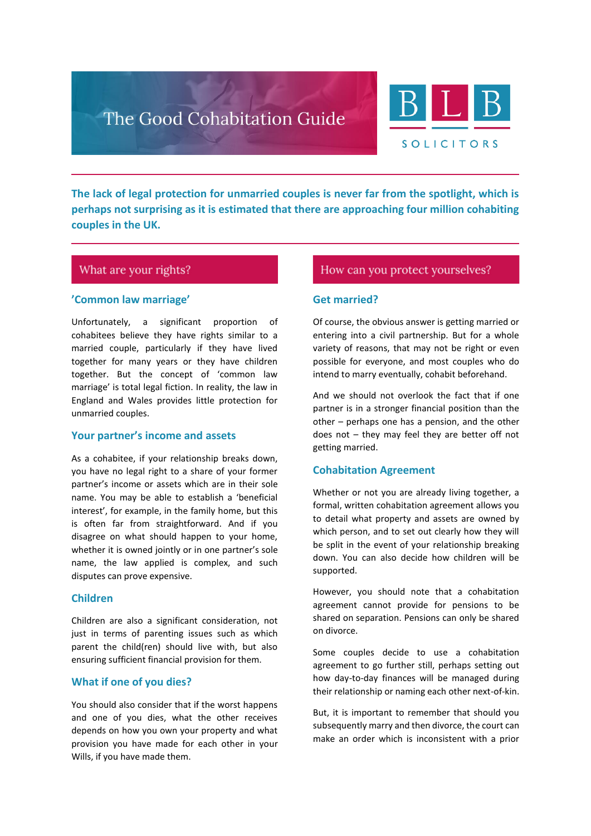

**The lack of legal protection for unmarried couples is never far from the spotlight, which is perhaps not surprising as it is estimated that there are approaching four million cohabiting couples in the UK.**

# What are your rights?

## **'Common law marriage'**

Unfortunately, a significant proportion of cohabitees believe they have rights similar to a married couple, particularly if they have lived together for many years or they have children together. But the concept of 'common law marriage' is total legal fiction. In reality, the law in England and Wales provides little protection for unmarried couples.

## **Your partner's income and assets**

As a cohabitee, if your relationship breaks down, you have no legal right to a share of your former partner's income or assets which are in their sole name. You may be able to establish a 'beneficial interest', for example, in the family home, but this is often far from straightforward. And if you disagree on what should happen to your home, whether it is owned jointly or in one partner's sole name, the law applied is complex, and such disputes can prove expensive.

#### **Children**

Children are also a significant consideration, not just in terms of parenting issues such as which parent the child(ren) should live with, but also ensuring sufficient financial provision for them.

## **What if one of you dies?**

You should also consider that if the worst happens and one of you dies, what the other receives depends on how you own your property and what provision you have made for each other in your Wills, if you have made them.

# How can you protect yourselves?

#### **Get married?**

Of course, the obvious answer is getting married or entering into a civil partnership. But for a whole variety of reasons, that may not be right or even possible for everyone, and most couples who do intend to marry eventually, cohabit beforehand.

And we should not overlook the fact that if one partner is in a stronger financial position than the other – perhaps one has a pension, and the other does not – they may feel they are better off not getting married.

## **Cohabitation Agreement**

Whether or not you are already living together, a formal, written cohabitation agreement allows you to detail what property and assets are owned by which person, and to set out clearly how they will be split in the event of your relationship breaking down. You can also decide how children will be supported.

However, you should note that a cohabitation agreement cannot provide for pensions to be shared on separation. Pensions can only be shared on divorce.

Some couples decide to use a cohabitation agreement to go further still, perhaps setting out how day-to-day finances will be managed during their relationship or naming each other next-of-kin.

But, it is important to remember that should you subsequently marry and then divorce, the court can make an order which is inconsistent with a prior